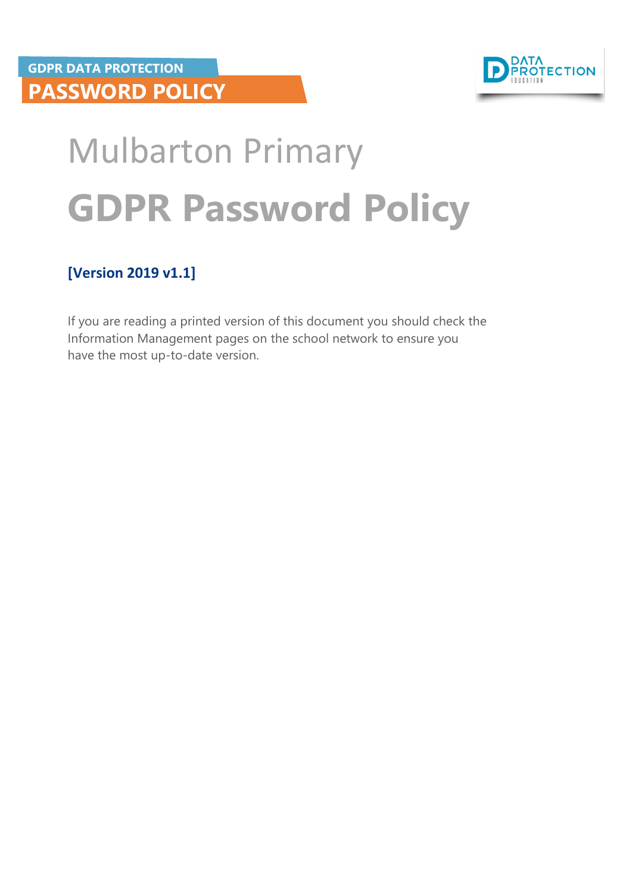

# Mulbarton Primary **GDPR Password Policy**

#### **[Version 2019 v1.1]**

If you are reading a printed version of this document you should check the Information Management pages on the school network to ensure you have the most up-to-date version.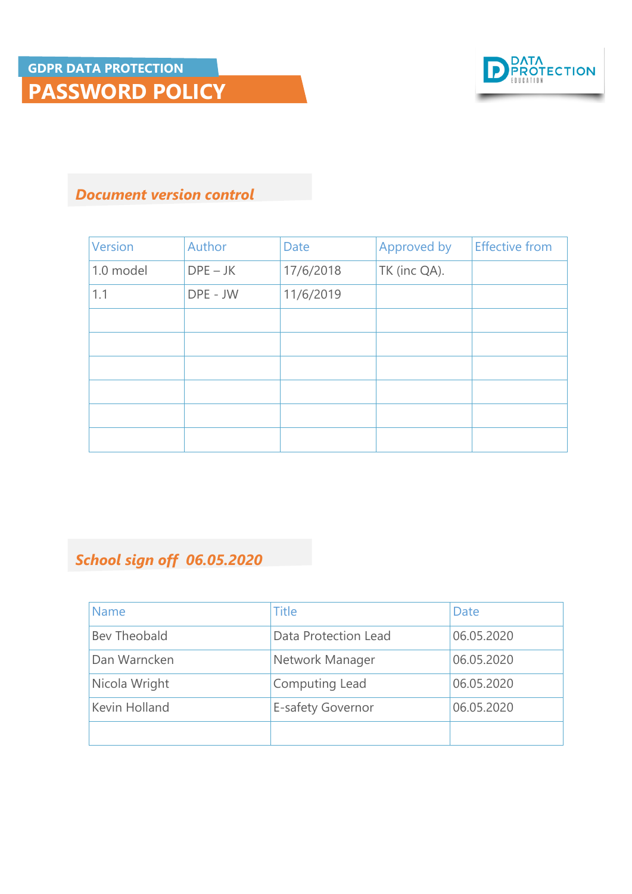

#### *Document version control*

| <b>Version</b> | Author     | Date      | Approved by  | <b>Effective from</b> |
|----------------|------------|-----------|--------------|-----------------------|
| 1.0 model      | $DPE - JK$ | 17/6/2018 | TK (inc QA). |                       |
| 1.1            | DPE - JW   | 11/6/2019 |              |                       |
|                |            |           |              |                       |
|                |            |           |              |                       |
|                |            |           |              |                       |
|                |            |           |              |                       |
|                |            |           |              |                       |
|                |            |           |              |                       |

#### *School sign off 06.05.2020*

| <b>Name</b>   | <b>Title</b>         | Date       |
|---------------|----------------------|------------|
| Bev Theobald  | Data Protection Lead | 06.05.2020 |
| Dan Warncken  | Network Manager      | 06.05.2020 |
| Nicola Wright | Computing Lead       | 06.05.2020 |
| Kevin Holland | E-safety Governor    | 06.05.2020 |
|               |                      |            |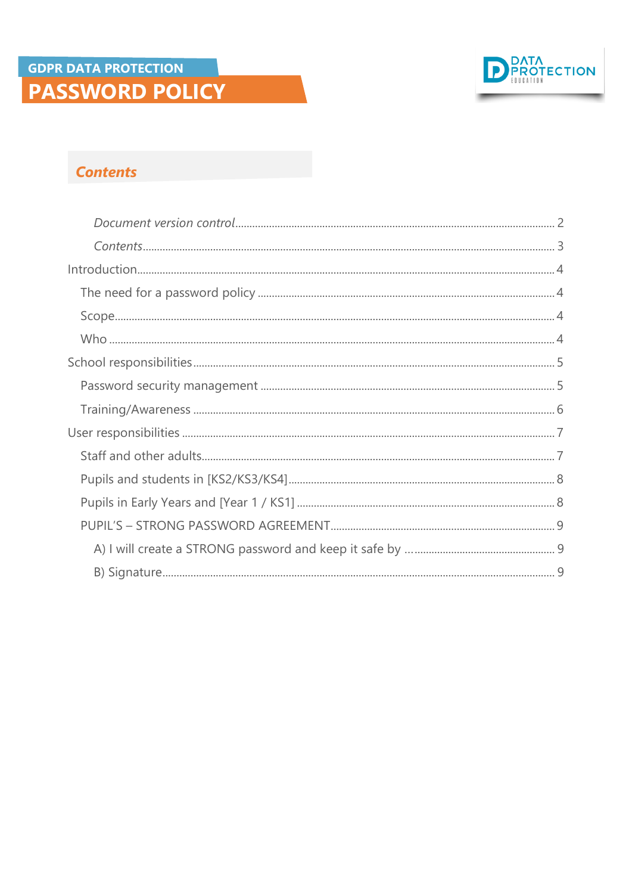

#### **Contents**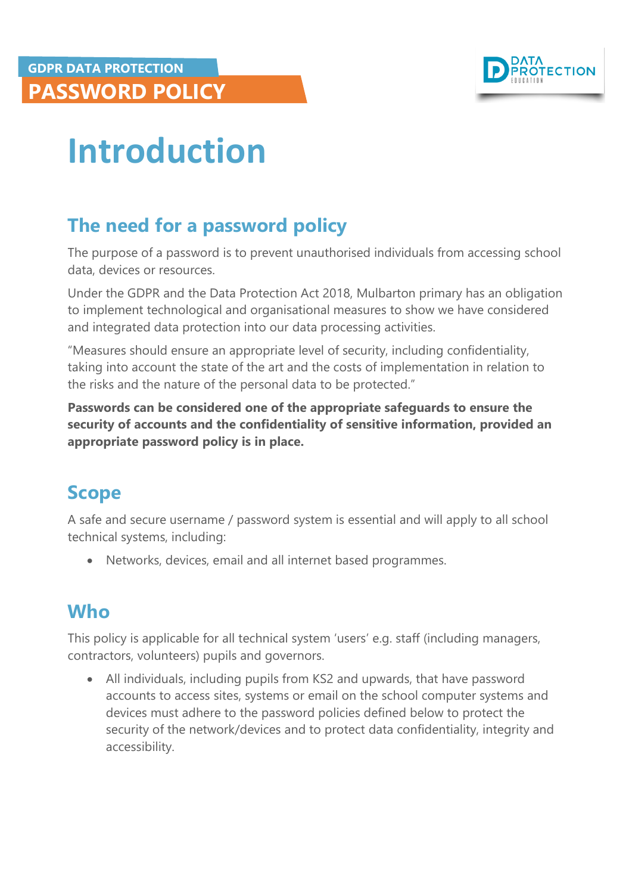

## <span id="page-3-0"></span>**Introduction**

## <span id="page-3-1"></span>**The need for a password policy**

The purpose of a password is to prevent unauthorised individuals from accessing school data, devices or resources.

Under the GDPR and the Data Protection Act 2018, Mulbarton primary has an obligation to implement technological and organisational measures to show we have considered and integrated data protection into our data processing activities.

"Measures should ensure an appropriate level of security, including confidentiality, taking into account the state of the art and the costs of implementation in relation to the risks and the nature of the personal data to be protected."

**Passwords can be considered one of the appropriate safeguards to ensure the security of accounts and the confidentiality of sensitive information, provided an appropriate password policy is in place.**

#### <span id="page-3-2"></span>**Scope**

A safe and secure username / password system is essential and will apply to all school technical systems, including:

Networks, devices, email and all internet based programmes.

## <span id="page-3-3"></span>**Who**

This policy is applicable for all technical system 'users' e.g. staff (including managers, contractors, volunteers) pupils and governors.

 All individuals, including pupils from KS2 and upwards, that have password accounts to access sites, systems or email on the school computer systems and devices must adhere to the password policies defined below to protect the security of the network/devices and to protect data confidentiality, integrity and accessibility.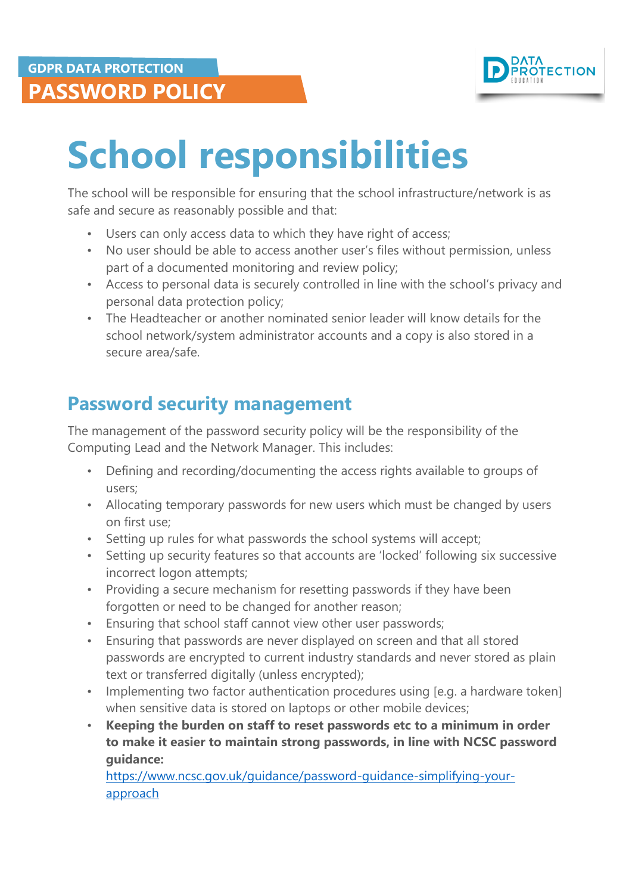

## <span id="page-4-0"></span>**School responsibilities**

The school will be responsible for ensuring that the school infrastructure/network is as safe and secure as reasonably possible and that:

- Users can only access data to which they have right of access;
- No user should be able to access another user's files without permission, unless part of a documented monitoring and review policy;
- Access to personal data is securely controlled in line with the school's privacy and personal data protection policy;
- The Headteacher or another nominated senior leader will know details for the school network/system administrator accounts and a copy is also stored in a secure area/safe.

### <span id="page-4-1"></span>**Password security management**

The management of the password security policy will be the responsibility of the Computing Lead and the Network Manager. This includes:

- Defining and recording/documenting the access rights available to groups of users;
- Allocating temporary passwords for new users which must be changed by users on first use;
- Setting up rules for what passwords the school systems will accept;
- Setting up security features so that accounts are 'locked' following six successive incorrect logon attempts;
- Providing a secure mechanism for resetting passwords if they have been forgotten or need to be changed for another reason;
- Ensuring that school staff cannot view other user passwords;
- Ensuring that passwords are never displayed on screen and that all stored passwords are encrypted to current industry standards and never stored as plain text or transferred digitally (unless encrypted);
- Implementing two factor authentication procedures using [e.g. a hardware token] when sensitive data is stored on laptops or other mobile devices;
- **Keeping the burden on staff to reset passwords etc to a minimum in order to make it easier to maintain strong passwords, in line with NCSC password guidance:**

[https://www.ncsc.gov.uk/guidance/password-guidance-simplifying-your](https://www.ncsc.gov.uk/guidance/password-guidance-simplifying-your-approach)[approach](https://www.ncsc.gov.uk/guidance/password-guidance-simplifying-your-approach)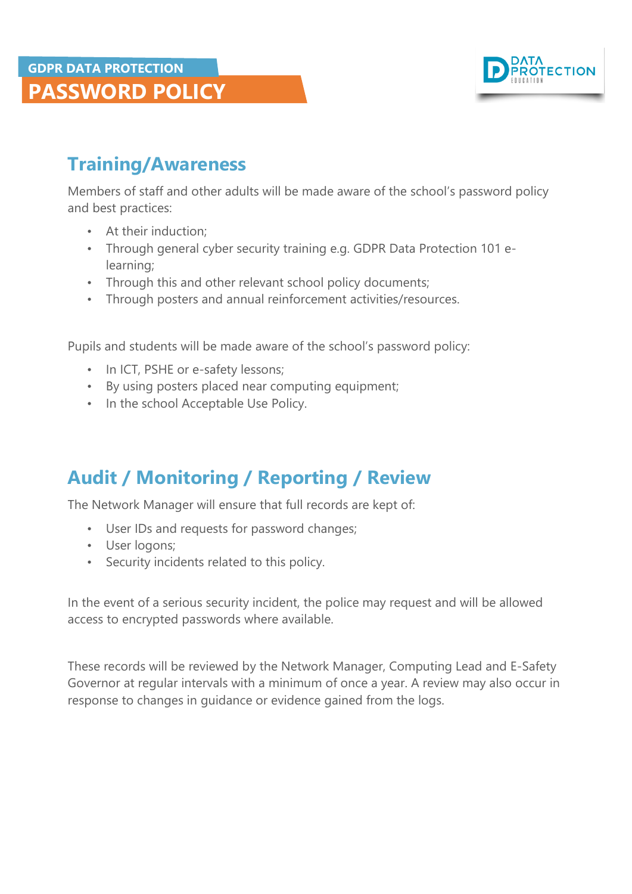

### <span id="page-5-0"></span>**Training/Awareness**

Members of staff and other adults will be made aware of the school's password policy and best practices:

- At their induction;
- Through general cyber security training e.g. GDPR Data Protection 101 elearning;
- Through this and other relevant school policy documents;
- Through posters and annual reinforcement activities/resources.

Pupils and students will be made aware of the school's password policy:

- In ICT, PSHE or e-safety lessons;
- By using posters placed near computing equipment;
- In the school Acceptable Use Policy.

### **Audit / Monitoring / Reporting / Review**

The Network Manager will ensure that full records are kept of:

- User IDs and requests for password changes;
- User logons;
- Security incidents related to this policy.

In the event of a serious security incident, the police may request and will be allowed access to encrypted passwords where available.

These records will be reviewed by the Network Manager, Computing Lead and E-Safety Governor at regular intervals with a minimum of once a year. A review may also occur in response to changes in guidance or evidence gained from the logs.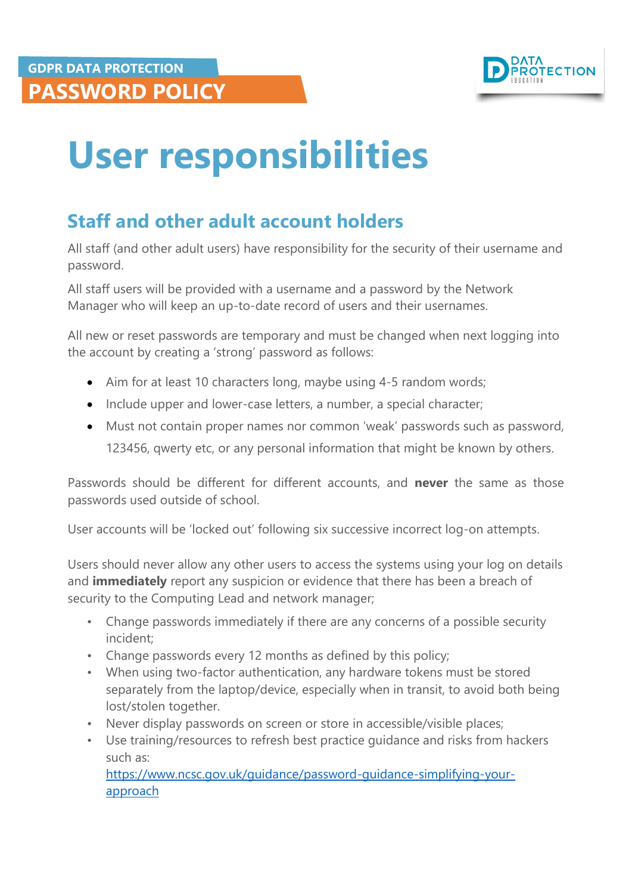

## <span id="page-6-0"></span>**User responsibilities**

## <span id="page-6-1"></span>**Staff and other adult account holders**

All staff (and other adult users) have responsibility for the security of their username and password.

All staff users will be provided with a username and a password by the Network Manager who will keep an up-to-date record of users and their usernames.

All new or reset passwords are temporary and must be changed when next logging into the account by creating a 'strong' password as follows:

- Aim for at least 10 characters long, maybe using 4-5 random words;
- Include upper and lower-case letters, a number, a special character;
- Must not contain proper names nor common 'weak' passwords such as password, 123456, qwerty etc, or any personal information that might be known by others.

Passwords should be different for different accounts, and **never** the same as those passwords used outside of school.

User accounts will be 'locked out' following six successive incorrect log-on attempts.

Users should never allow any other users to access the systems using your log on details and **immediately** report any suspicion or evidence that there has been a breach of security to the Computing Lead and network manager;

- Change passwords immediately if there are any concerns of a possible security incident;
- Change passwords every 12 months as defined by this policy;
- When using two-factor authentication, any hardware tokens must be stored separately from the laptop/device, especially when in transit, to avoid both being lost/stolen together.
- Never display passwords on screen or store in accessible/visible places;
- Use training/resources to refresh best practice guidance and risks from hackers such as:

[https://www.ncsc.gov.uk/guidance/password-guidance-simplifying-your](https://www.ncsc.gov.uk/guidance/password-guidance-simplifying-your-approach)[approach](https://www.ncsc.gov.uk/guidance/password-guidance-simplifying-your-approach)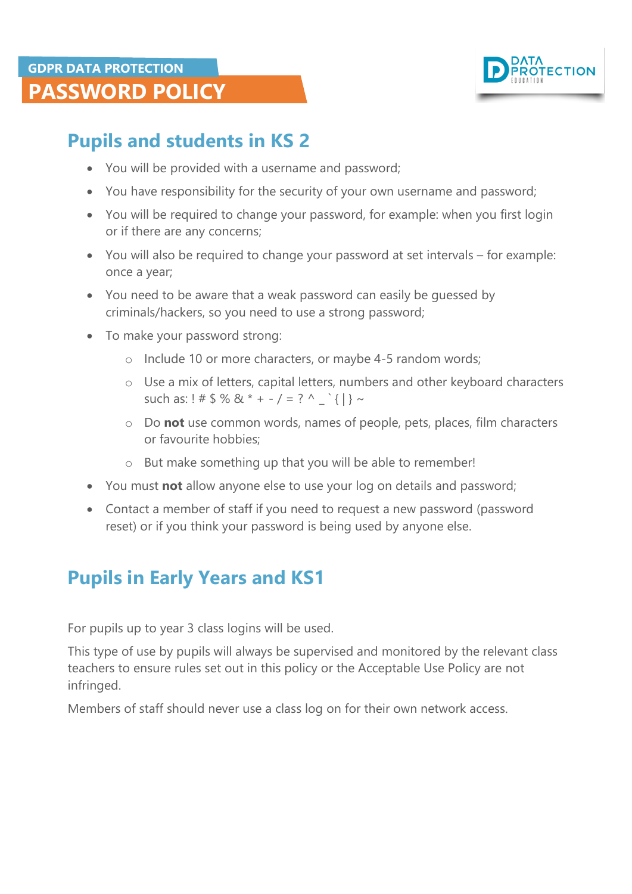

## <span id="page-7-0"></span>**Pupils and students in KS 2**

- You will be provided with a username and password;
- You have responsibility for the security of your own username and password;
- You will be required to change your password, for example: when you first login or if there are any concerns;
- You will also be required to change your password at set intervals for example: once a year;
- You need to be aware that a weak password can easily be guessed by criminals/hackers, so you need to use a strong password;
- To make your password strong:
	- o Include 10 or more characters, or maybe 4-5 random words;
	- o Use a mix of letters, capital letters, numbers and other keyboard characters such as: ! #  $\frac{6}{5}$  % & \* + - / = ? ^ \_ `{|} ~
	- o Do **not** use common words, names of people, pets, places, film characters or favourite hobbies;
	- o But make something up that you will be able to remember!
- You must **not** allow anyone else to use your log on details and password;
- Contact a member of staff if you need to request a new password (password reset) or if you think your password is being used by anyone else.

### <span id="page-7-1"></span>**Pupils in Early Years and KS1**

For pupils up to year 3 class logins will be used.

This type of use by pupils will always be supervised and monitored by the relevant class teachers to ensure rules set out in this policy or the Acceptable Use Policy are not infringed.

Members of staff should never use a class log on for their own network access.